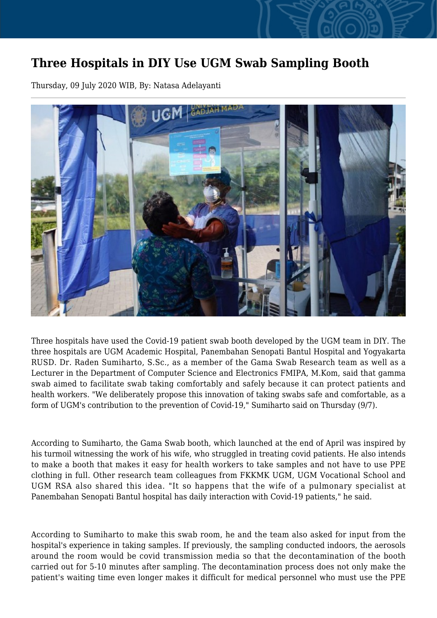## **Three Hospitals in DIY Use UGM Swab Sampling Booth**

Thursday, 09 July 2020 WIB, By: Natasa Adelayanti



Three hospitals have used the Covid-19 patient swab booth developed by the UGM team in DIY. The three hospitals are UGM Academic Hospital, Panembahan Senopati Bantul Hospital and Yogyakarta RUSD. Dr. Raden Sumiharto, S.Sc., as a member of the Gama Swab Research team as well as a Lecturer in the Department of Computer Science and Electronics FMIPA, M.Kom, said that gamma swab aimed to facilitate swab taking comfortably and safely because it can protect patients and health workers. "We deliberately propose this innovation of taking swabs safe and comfortable, as a form of UGM's contribution to the prevention of Covid-19," Sumiharto said on Thursday (9/7).

According to Sumiharto, the Gama Swab booth, which launched at the end of April was inspired by his turmoil witnessing the work of his wife, who struggled in treating covid patients. He also intends to make a booth that makes it easy for health workers to take samples and not have to use PPE clothing in full. Other research team colleagues from FKKMK UGM, UGM Vocational School and UGM RSA also shared this idea. "It so happens that the wife of a pulmonary specialist at Panembahan Senopati Bantul hospital has daily interaction with Covid-19 patients," he said.

According to Sumiharto to make this swab room, he and the team also asked for input from the hospital's experience in taking samples. If previously, the sampling conducted indoors, the aerosols around the room would be covid transmission media so that the decontamination of the booth carried out for 5-10 minutes after sampling. The decontamination process does not only make the patient's waiting time even longer makes it difficult for medical personnel who must use the PPE